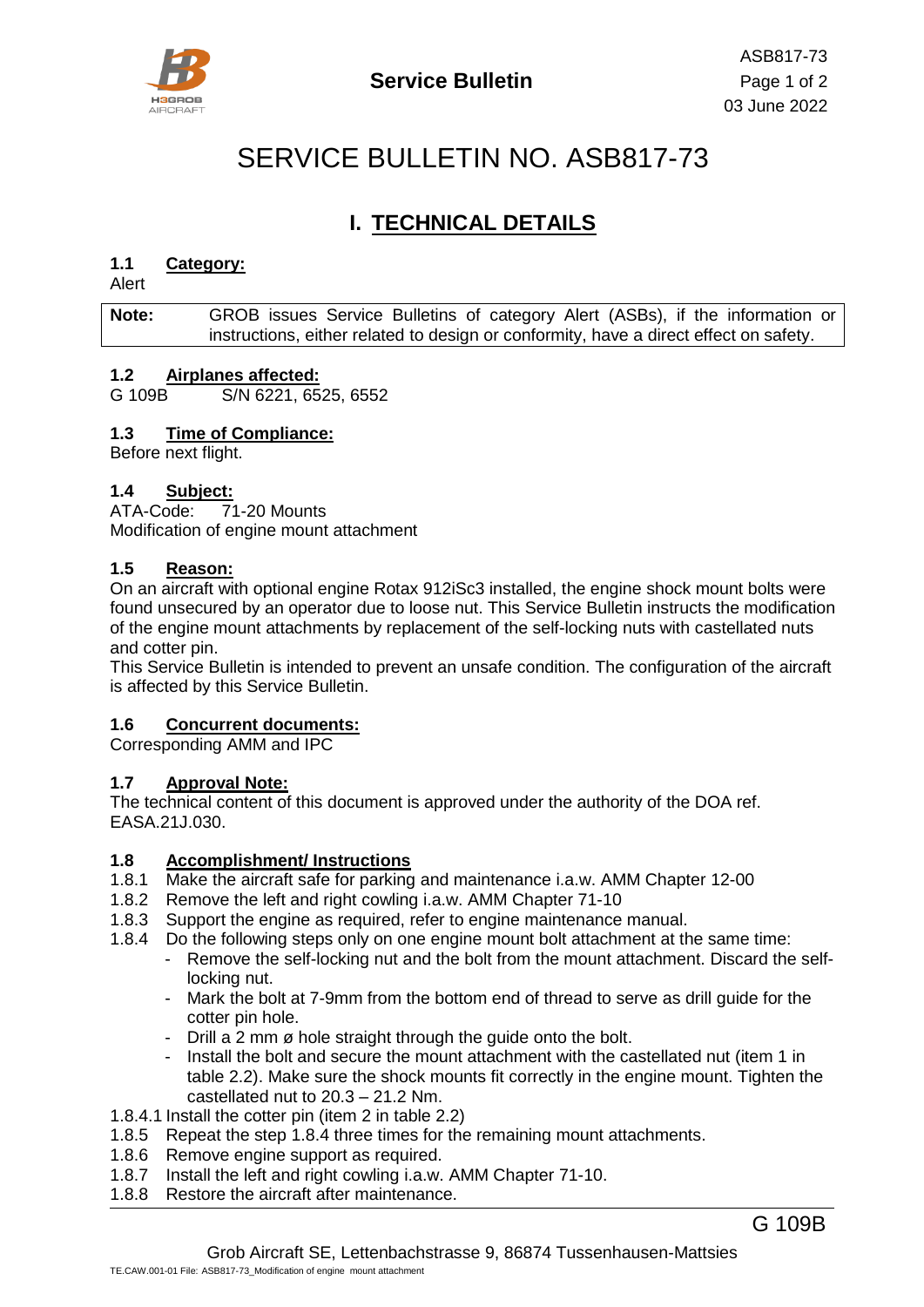

# SERVICE BULLETIN NO. ASB817-73

# **I. TECHNICAL DETAILS**

#### **1.1 Category:**

Alert

#### **Note:** GROB issues Service Bulletins of category Alert (ASBs), if the information or instructions, either related to design or conformity, have a direct effect on safety.

#### **1.2 Airplanes affected:**

G 109B S/N 6221, 6525, 6552

#### **1.3 Time of Compliance:**

Before next flight.

#### **1.4 Subject:**

ATA-Code: 71-20 Mounts Modification of engine mount attachment

#### **1.5 Reason:**

On an aircraft with optional engine Rotax 912iSc3 installed, the engine shock mount bolts were found unsecured by an operator due to loose nut. This Service Bulletin instructs the modification of the engine mount attachments by replacement of the self-locking nuts with castellated nuts and cotter pin.

This Service Bulletin is intended to prevent an unsafe condition. The configuration of the aircraft is affected by this Service Bulletin.

#### **1.6 Concurrent documents:**

Corresponding AMM and IPC

#### **1.7 Approval Note:**

The technical content of this document is approved under the authority of the DOA ref. EASA.21J.030.

#### **1.8 Accomplishment/ Instructions**

- 1.8.1 Make the aircraft safe for parking and maintenance i.a.w. AMM Chapter 12-00
- 1.8.2 Remove the left and right cowling i.a.w. AMM Chapter 71-10
- 1.8.3 Support the engine as required, refer to engine maintenance manual.
- <span id="page-0-0"></span>1.8.4 Do the following steps only on one engine mount bolt attachment at the same time:
	- Remove the self-locking nut and the bolt from the mount attachment. Discard the selflocking nut.
	- Mark the bolt at 7-9mm from the bottom end of thread to serve as drill guide for the cotter pin hole.
	- Drill a 2 mm ø hole straight through the guide onto the bolt.
	- Install the bolt and secure the mount attachment with the castellated nut (item [1](#page-1-0) in table [2.2\)](#page-1-1). Make sure the shock mounts fit correctly in the engine mount. Tighten the castellated nut to 20.3 – 21.2 Nm.
- 1.8.4.1 Install the cotter pin (item [2](#page-1-2) in table [2.2\)](#page-1-1)
- 1.8.5 Repeat the step [1.8.4](#page-0-0) three times for the remaining mount attachments.
- 1.8.6 Remove engine support as required.
- 1.8.7 Install the left and right cowling i.a.w. AMM Chapter 71-10.
- 1.8.8 Restore the aircraft after maintenance.